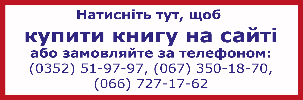# Натисніть тут, щоб купити книгу на сайті або замовляйте за телефоном:  $(0352)$  51-97-97, (067) 350-18-70,  $(066) 727 - 17 - 62$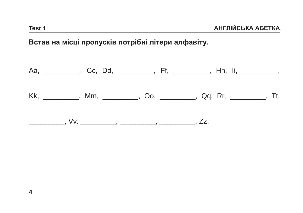## Встав на місці пропусків потрібні літери алфавіту.

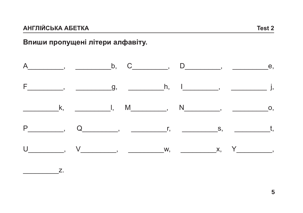## Впиши пропущені літери алфавіту.

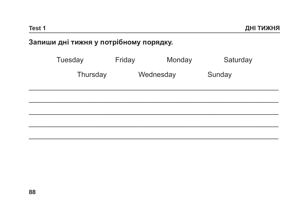# Запиши дні тижня у потрібному порядку.

| Tuesday  | Friday    |  | Monday | Saturday |
|----------|-----------|--|--------|----------|
| Thursday | Wednesday |  |        | Sunday   |
|          |           |  |        |          |
|          |           |  |        |          |
|          |           |  |        |          |
|          |           |  |        |          |
|          |           |  |        |          |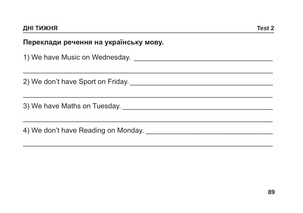## Переклади речення на українську мову.

| 2) We don't have Sport on Friday. 2010 11:00:00 Media and the Sport on Friday. |
|--------------------------------------------------------------------------------|
|                                                                                |
|                                                                                |
|                                                                                |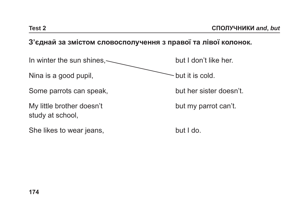#### **З'єднай за змістом словосполучення з правої та лівої колонок.**

In winter the sun shines,  $\sim$  but I don't like her.

Nina is a good pupil,  $\sim$  but it is cold.

Some parrots can speak, but her sister doesn't.

My little brother doesn't but my parrot can't. study at school,

She likes to wear jeans, but I do.